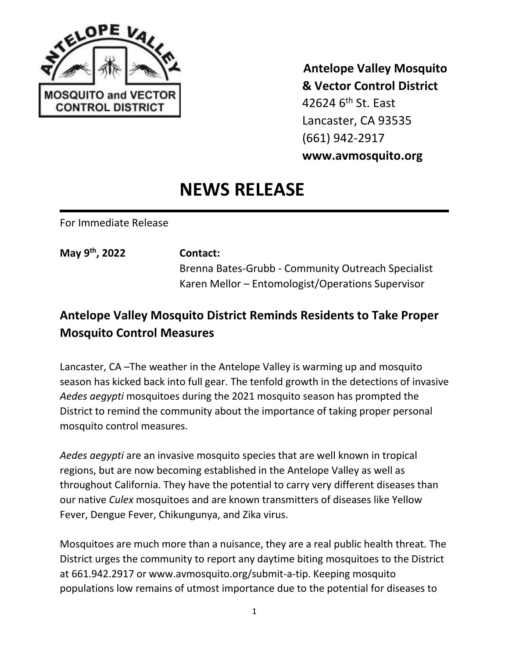

 **Antelope Valley Mosquito & Vector Control District** 42624  $6<sup>th</sup>$  St. Fast Lancaster, CA 93535 (661) 942-2917 **www.avmosquito.org**

## **NEWS RELEASE**

For Immediate Release

**May 9th**

## **, 2022 Contact:**

Brenna Bates-Grubb - Community Outreach Specialist Karen Mellor – Entomologist/Operations Supervisor

## **Antelope Valley Mosquito District Reminds Residents to Take Proper Mosquito Control Measures**

Lancaster, CA –The weather in the Antelope Valley is warming up and mosquito season has kicked back into full gear. The tenfold growth in the detections of invasive *Aedes aegypti* mosquitoes during the 2021 mosquito season has prompted the District to remind the community about the importance of taking proper personal mosquito control measures.

*Aedes aegypti* are an invasive mosquito species that are well known in tropical regions, but are now becoming established in the Antelope Valley as well as throughout California. They have the potential to carry very different diseases than our native *Culex* mosquitoes and are known transmitters of diseases like Yellow Fever, Dengue Fever, Chikungunya, and Zika virus.

Mosquitoes are much more than a nuisance, they are a real public health threat. The District urges the community to report any daytime biting mosquitoes to the District at 661.942.2917 or www.avmosquito.org/submit-a-tip. Keeping mosquito populations low remains of utmost importance due to the potential for diseases to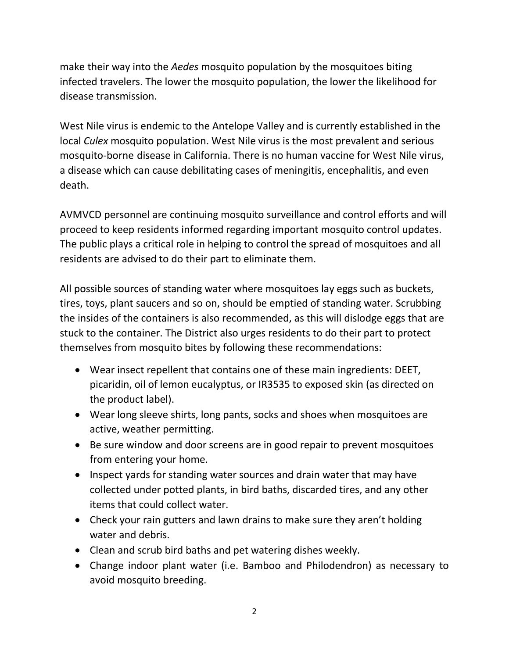make their way into the *Aedes* mosquito population by the mosquitoes biting infected travelers. The lower the mosquito population, the lower the likelihood for disease transmission.

West Nile virus is endemic to the Antelope Valley and is currently established in the local *Culex* mosquito population. West Nile virus is the most prevalent and serious mosquito-borne disease in California. There is no human vaccine for West Nile virus, a disease which can cause debilitating cases of meningitis, encephalitis, and even death.

AVMVCD personnel are continuing mosquito surveillance and control efforts and will proceed to keep residents informed regarding important mosquito control updates. The public plays a critical role in helping to control the spread of mosquitoes and all residents are advised to do their part to eliminate them.

All possible sources of standing water where mosquitoes lay eggs such as buckets, tires, toys, plant saucers and so on, should be emptied of standing water. Scrubbing the insides of the containers is also recommended, as this will dislodge eggs that are stuck to the container. The District also urges residents to do their part to protect themselves from mosquito bites by following these recommendations:

- Wear insect repellent that contains one of these main ingredients: DEET, picaridin, oil of lemon eucalyptus, or IR3535 to exposed skin (as directed on the product label).
- Wear long sleeve shirts, long pants, socks and shoes when mosquitoes are active, weather permitting.
- Be sure window and door screens are in good repair to prevent mosquitoes from entering your home.
- Inspect yards for standing water sources and drain water that may have collected under potted plants, in bird baths, discarded tires, and any other items that could collect water.
- Check your rain gutters and lawn drains to make sure they aren't holding water and debris.
- Clean and scrub bird baths and pet watering dishes weekly.
- Change indoor plant water (i.e. Bamboo and Philodendron) as necessary to avoid mosquito breeding.